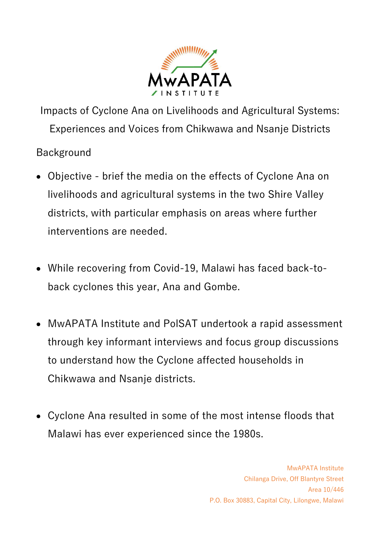

Impacts of Cyclone Ana on Livelihoods and Agricultural Systems: Experiences and Voices from Chikwawa and Nsanje Districts

Background

- Objective brief the media on the effects of Cyclone Ana on livelihoods and agricultural systems in the two Shire Valley districts, with particular emphasis on areas where further interventions are needed.
- While recovering from Covid-19, Malawi has faced back-toback cyclones this year, Ana and Gombe.
- MwAPATA Institute and PolSAT undertook a rapid assessment through key informant interviews and focus group discussions to understand how the Cyclone affected households in Chikwawa and Nsanje districts.
- Cyclone Ana resulted in some of the most intense floods that Malawi has ever experienced since the 1980s.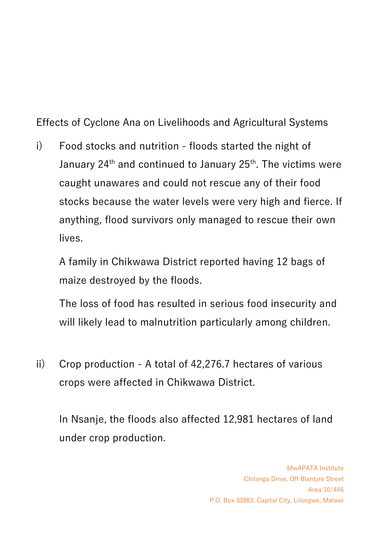Effects of Cyclone Ana on Livelihoods and Agricultural Systems

i) Food stocks and nutrition - floods started the night of January 24<sup>th</sup> and continued to January 25<sup>th</sup>. The victims were caught unawares and could not rescue any of their food stocks because the water levels were very high and fierce. If anything, flood survivors only managed to rescue their own lives.

A family in Chikwawa District reported having 12 bags of maize destroyed by the floods.

The loss of food has resulted in serious food insecurity and will likely lead to malnutrition particularly among children.

ii) Crop production - A total of 42,276.7 hectares of various crops were affected in Chikwawa District.

In Nsanje, the floods also affected 12,981 hectares of land under crop production.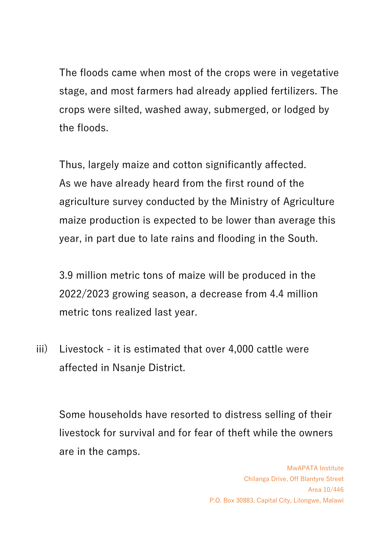The floods came when most of the crops were in vegetative stage, and most farmers had already applied fertilizers. The crops were silted, washed away, submerged, or lodged by the floods.

Thus, largely maize and cotton significantly affected. As we have already heard from the first round of the agriculture survey conducted by the Ministry of Agriculture maize production is expected to be lower than average this year, in part due to late rains and flooding in the South.

3.9 million metric tons of maize will be produced in the 2022/2023 growing season, a decrease from 4.4 million metric tons realized last year.

iii) Livestock - it is estimated that over 4,000 cattle were affected in Nsanje District.

Some households have resorted to distress selling of their livestock for survival and for fear of theft while the owners are in the camps.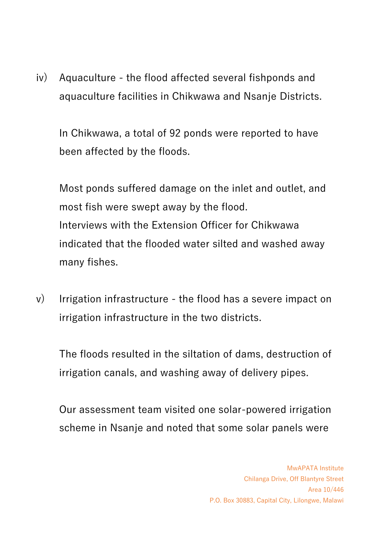iv) Aquaculture - the flood affected several fishponds and aquaculture facilities in Chikwawa and Nsanje Districts.

In Chikwawa, a total of 92 ponds were reported to have been affected by the floods.

Most ponds suffered damage on the inlet and outlet, and most fish were swept away by the flood. Interviews with the Extension Officer for Chikwawa indicated that the flooded water silted and washed away many fishes.

v) Irrigation infrastructure - the flood has a severe impact on irrigation infrastructure in the two districts.

The floods resulted in the siltation of dams, destruction of irrigation canals, and washing away of delivery pipes.

Our assessment team visited one solar-powered irrigation scheme in Nsanje and noted that some solar panels were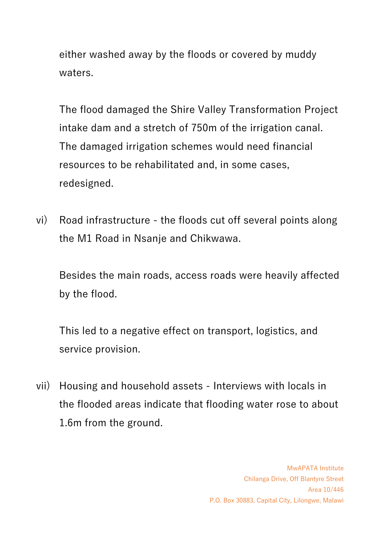either washed away by the floods or covered by muddy waters.

The flood damaged the Shire Valley Transformation Project intake dam and a stretch of 750m of the irrigation canal. The damaged irrigation schemes would need financial resources to be rehabilitated and, in some cases, redesigned.

vi) Road infrastructure - the floods cut off several points along the M1 Road in Nsanje and Chikwawa.

Besides the main roads, access roads were heavily affected by the flood.

This led to a negative effect on transport, logistics, and service provision.

vii) Housing and household assets - Interviews with locals in the flooded areas indicate that flooding water rose to about 1.6m from the ground.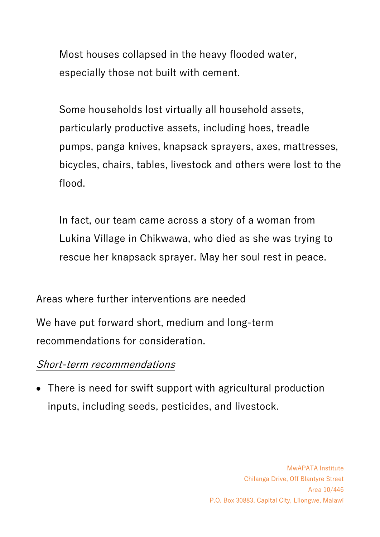Most houses collapsed in the heavy flooded water, especially those not built with cement.

Some households lost virtually all household assets, particularly productive assets, including hoes, treadle pumps, panga knives, knapsack sprayers, axes, mattresses, bicycles, chairs, tables, livestock and others were lost to the flood.

In fact, our team came across a story of a woman from Lukina Village in Chikwawa, who died as she was trying to rescue her knapsack sprayer. May her soul rest in peace.

Areas where further interventions are needed

We have put forward short, medium and long-term recommendations for consideration.

## Short-term recommendations

• There is need for swift support with agricultural production inputs, including seeds, pesticides, and livestock.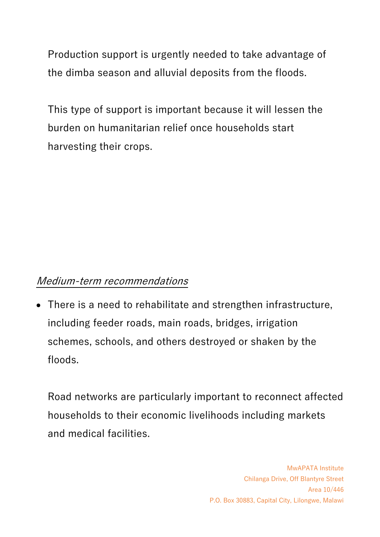Production support is urgently needed to take advantage of the dimba season and alluvial deposits from the floods.

This type of support is important because it will lessen the burden on humanitarian relief once households start harvesting their crops.

## Medium-term recommendations

• There is a need to rehabilitate and strengthen infrastructure, including feeder roads, main roads, bridges, irrigation schemes, schools, and others destroyed or shaken by the floods.

Road networks are particularly important to reconnect affected households to their economic livelihoods including markets and medical facilities.